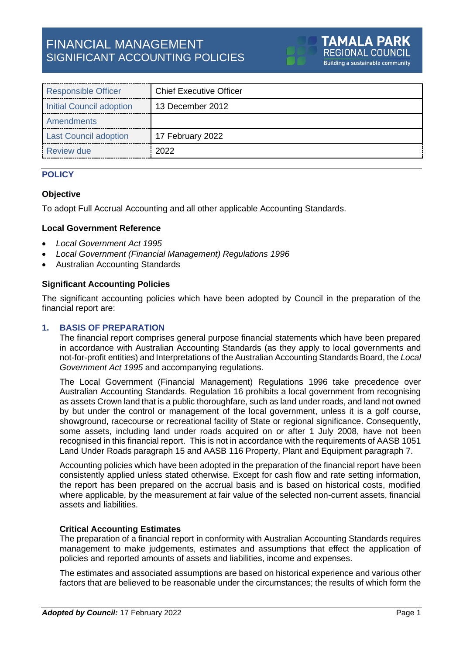# FINANCIAL MANAGEMENT SIGNIFICANT ACCOUNTING POLICIES

| <b>Responsible Officer</b>   | <b>Chief Executive Officer</b> |
|------------------------------|--------------------------------|
| Initial Council adoption     | 13 December 2012               |
| Amendments                   |                                |
| <b>Last Council adoption</b> | 17 February 2022               |
| Review due                   | 2022                           |

# **POLICY**

# **Objective**

To adopt Full Accrual Accounting and all other applicable Accounting Standards.

### **Local Government Reference**

- *Local Government Act 1995*
- *Local Government (Financial Management) Regulations 1996*
- Australian Accounting Standards

### **Significant Accounting Policies**

The significant accounting policies which have been adopted by Council in the preparation of the financial report are:

### **1. BASIS OF PREPARATION**

The financial report comprises general purpose financial statements which have been prepared in accordance with Australian Accounting Standards (as they apply to local governments and not-for-profit entities) and Interpretations of the Australian Accounting Standards Board, the *Local Government Act 1995* and accompanying regulations.

The Local Government (Financial Management) Regulations 1996 take precedence over Australian Accounting Standards. Regulation 16 prohibits a local government from recognising as assets Crown land that is a public thoroughfare, such as land under roads, and land not owned by but under the control or management of the local government, unless it is a golf course, showground, racecourse or recreational facility of State or regional significance. Consequently, some assets, including land under roads acquired on or after 1 July 2008, have not been recognised in this financial report. This is not in accordance with the requirements of AASB 1051 Land Under Roads paragraph 15 and AASB 116 Property, Plant and Equipment paragraph 7.

Accounting policies which have been adopted in the preparation of the financial report have been consistently applied unless stated otherwise. Except for cash flow and rate setting information, the report has been prepared on the accrual basis and is based on historical costs, modified where applicable, by the measurement at fair value of the selected non-current assets, financial assets and liabilities.

# **Critical Accounting Estimates**

The preparation of a financial report in conformity with Australian Accounting Standards requires management to make judgements, estimates and assumptions that effect the application of policies and reported amounts of assets and liabilities, income and expenses.

The estimates and associated assumptions are based on historical experience and various other factors that are believed to be reasonable under the circumstances; the results of which form the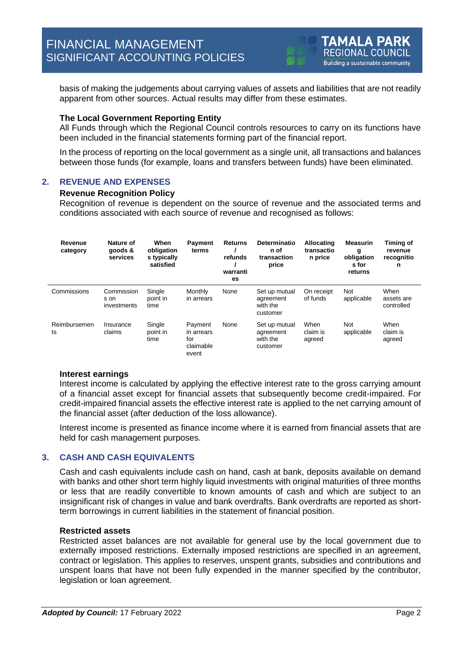basis of making the judgements about carrying values of assets and liabilities that are not readily apparent from other sources. Actual results may differ from these estimates.

### **The Local Government Reporting Entity**

All Funds through which the Regional Council controls resources to carry on its functions have been included in the financial statements forming part of the financial report.

In the process of reporting on the local government as a single unit, all transactions and balances between those funds (for example, loans and transfers between funds) have been eliminated.

# **2. REVENUE AND EXPENSES**

#### **Revenue Recognition Policy**

Recognition of revenue is dependent on the source of revenue and the associated terms and conditions associated with each source of revenue and recognised as follows:

| Revenue<br>category | Nature of<br>goods &<br>services  | When<br>obligation<br>s typically<br>satisfied | <b>Payment</b><br>terms                            | <b>Returns</b><br>refunds<br>warranti<br>es | Determinatio<br>n of<br>transaction<br>price       | Allocating<br>transactio<br>n price | <b>Measurin</b><br>g<br>obligation<br>s for<br>returns | Timing of<br>revenue<br>recognitio<br>n |
|---------------------|-----------------------------------|------------------------------------------------|----------------------------------------------------|---------------------------------------------|----------------------------------------------------|-------------------------------------|--------------------------------------------------------|-----------------------------------------|
| Commissions         | Commission<br>s on<br>investments | Single<br>point in<br>time                     | Monthly<br>in arrears                              | None                                        | Set up mutual<br>agreement<br>with the<br>customer | On receipt<br>of funds              | <b>Not</b><br>applicable                               | When<br>assets are<br>controlled        |
| Reimbursemen<br>ts  | Insurance<br>claims               | Single<br>point in<br>time                     | Payment<br>in arrears<br>for<br>claimable<br>event | None                                        | Set up mutual<br>agreement<br>with the<br>customer | When<br>claim is<br>agreed          | Not<br>applicable                                      | When<br>claim is<br>agreed              |

### **Interest earnings**

Interest income is calculated by applying the effective interest rate to the gross carrying amount of a financial asset except for financial assets that subsequently become credit-impaired. For credit-impaired financial assets the effective interest rate is applied to the net carrying amount of the financial asset (after deduction of the loss allowance).

Interest income is presented as finance income where it is earned from financial assets that are held for cash management purposes.

## **3. CASH AND CASH EQUIVALENTS**

Cash and cash equivalents include cash on hand, cash at bank, deposits available on demand with banks and other short term highly liquid investments with original maturities of three months or less that are readily convertible to known amounts of cash and which are subject to an insignificant risk of changes in value and bank overdrafts. Bank overdrafts are reported as shortterm borrowings in current liabilities in the statement of financial position.

### **Restricted assets**

Restricted asset balances are not available for general use by the local government due to externally imposed restrictions. Externally imposed restrictions are specified in an agreement, contract or legislation. This applies to reserves, unspent grants, subsidies and contributions and unspent loans that have not been fully expended in the manner specified by the contributor, legislation or loan agreement.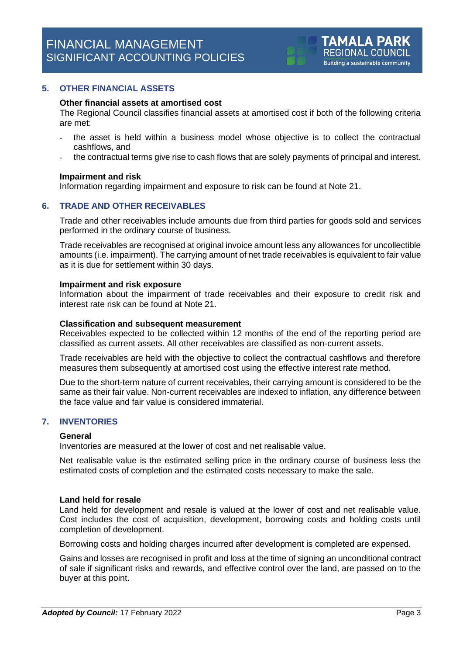### **5. OTHER FINANCIAL ASSETS**

#### **Other financial assets at amortised cost**

The Regional Council classifies financial assets at amortised cost if both of the following criteria are met:

- the asset is held within a business model whose objective is to collect the contractual cashflows, and
- the contractual terms give rise to cash flows that are solely payments of principal and interest.

#### **Impairment and risk**

Information regarding impairment and exposure to risk can be found at Note 21.

### **6. TRADE AND OTHER RECEIVABLES**

Trade and other receivables include amounts due from third parties for goods sold and services performed in the ordinary course of business.

Trade receivables are recognised at original invoice amount less any allowances for uncollectible amounts (i.e. impairment). The carrying amount of net trade receivables is equivalent to fair value as it is due for settlement within 30 days.

#### **Impairment and risk exposure**

Information about the impairment of trade receivables and their exposure to credit risk and interest rate risk can be found at Note 21.

#### **Classification and subsequent measurement**

Receivables expected to be collected within 12 months of the end of the reporting period are classified as current assets. All other receivables are classified as non-current assets.

Trade receivables are held with the objective to collect the contractual cashflows and therefore measures them subsequently at amortised cost using the effective interest rate method.

Due to the short-term nature of current receivables, their carrying amount is considered to be the same as their fair value. Non-current receivables are indexed to inflation, any difference between the face value and fair value is considered immaterial.

# **7. INVENTORIES**

### **General**

Inventories are measured at the lower of cost and net realisable value.

Net realisable value is the estimated selling price in the ordinary course of business less the estimated costs of completion and the estimated costs necessary to make the sale.

#### **Land held for resale**

Land held for development and resale is valued at the lower of cost and net realisable value. Cost includes the cost of acquisition, development, borrowing costs and holding costs until completion of development.

Borrowing costs and holding charges incurred after development is completed are expensed.

Gains and losses are recognised in profit and loss at the time of signing an unconditional contract of sale if significant risks and rewards, and effective control over the land, are passed on to the buyer at this point.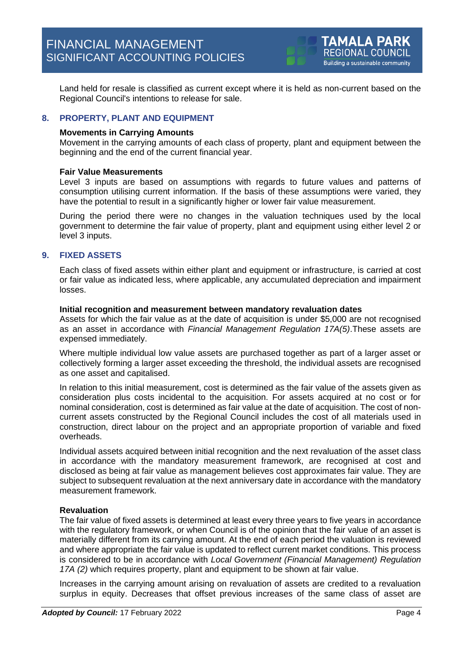Land held for resale is classified as current except where it is held as non-current based on the Regional Council's intentions to release for sale.

# **8. PROPERTY, PLANT AND EQUIPMENT**

### **Movements in Carrying Amounts**

Movement in the carrying amounts of each class of property, plant and equipment between the beginning and the end of the current financial year.

### **Fair Value Measurements**

Level 3 inputs are based on assumptions with regards to future values and patterns of consumption utilising current information. If the basis of these assumptions were varied, they have the potential to result in a significantly higher or lower fair value measurement.

During the period there were no changes in the valuation techniques used by the local government to determine the fair value of property, plant and equipment using either level 2 or level 3 inputs.

# **9. FIXED ASSETS**

Each class of fixed assets within either plant and equipment or infrastructure, is carried at cost or fair value as indicated less, where applicable, any accumulated depreciation and impairment losses.

### **Initial recognition and measurement between mandatory revaluation dates**

Assets for which the fair value as at the date of acquisition is under \$5,000 are not recognised as an asset in accordance with *Financial Management Regulation 17A(5)*.These assets are expensed immediately.

Where multiple individual low value assets are purchased together as part of a larger asset or collectively forming a larger asset exceeding the threshold, the individual assets are recognised as one asset and capitalised.

In relation to this initial measurement, cost is determined as the fair value of the assets given as consideration plus costs incidental to the acquisition. For assets acquired at no cost or for nominal consideration, cost is determined as fair value at the date of acquisition. The cost of noncurrent assets constructed by the Regional Council includes the cost of all materials used in construction, direct labour on the project and an appropriate proportion of variable and fixed overheads.

Individual assets acquired between initial recognition and the next revaluation of the asset class in accordance with the mandatory measurement framework, are recognised at cost and disclosed as being at fair value as management believes cost approximates fair value. They are subject to subsequent revaluation at the next anniversary date in accordance with the mandatory measurement framework.

# **Revaluation**

The fair value of fixed assets is determined at least every three years to five years in accordance with the regulatory framework, or when Council is of the opinion that the fair value of an asset is materially different from its carrying amount. At the end of each period the valuation is reviewed and where appropriate the fair value is updated to reflect current market conditions. This process is considered to be in accordance with *Local Government (Financial Management) Regulation 17A (2)* which requires property, plant and equipment to be shown at fair value.

Increases in the carrying amount arising on revaluation of assets are credited to a revaluation surplus in equity. Decreases that offset previous increases of the same class of asset are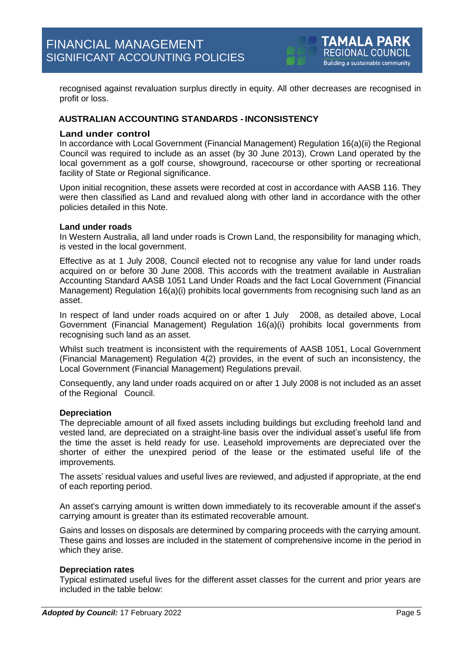recognised against revaluation surplus directly in equity. All other decreases are recognised in profit or loss.

# **AUSTRALIAN ACCOUNTING STANDARDS -INCONSISTENCY**

### **Land under control**

In accordance with Local Government (Financial Management) Regulation 16(a)(ii) the Regional Council was required to include as an asset (by 30 June 2013), Crown Land operated by the local government as a golf course, showground, racecourse or other sporting or recreational facility of State or Regional significance.

Upon initial recognition, these assets were recorded at cost in accordance with AASB 116. They were then classified as Land and revalued along with other land in accordance with the other policies detailed in this Note.

### **Land under roads**

In Western Australia, all land under roads is Crown Land, the responsibility for managing which, is vested in the local government.

Effective as at 1 July 2008, Council elected not to recognise any value for land under roads acquired on or before 30 June 2008. This accords with the treatment available in Australian Accounting Standard AASB 1051 Land Under Roads and the fact Local Government (Financial Management) Regulation 16(a)(i) prohibits local governments from recognising such land as an asset.

In respect of land under roads acquired on or after 1 July 2008, as detailed above, Local Government (Financial Management) Regulation 16(a)(i) prohibits local governments from recognising such land as an asset.

Whilst such treatment is inconsistent with the requirements of AASB 1051, Local Government (Financial Management) Regulation 4(2) provides, in the event of such an inconsistency, the Local Government (Financial Management) Regulations prevail.

Consequently, any land under roads acquired on or after 1 July 2008 is not included as an asset of the Regional Council.

### **Depreciation**

The depreciable amount of all fixed assets including buildings but excluding freehold land and vested land, are depreciated on a straight-line basis over the individual asset's useful life from the time the asset is held ready for use. Leasehold improvements are depreciated over the shorter of either the unexpired period of the lease or the estimated useful life of the improvements.

The assets' residual values and useful lives are reviewed, and adjusted if appropriate, at the end of each reporting period.

An asset's carrying amount is written down immediately to its recoverable amount if the asset's carrying amount is greater than its estimated recoverable amount.

Gains and losses on disposals are determined by comparing proceeds with the carrying amount. These gains and losses are included in the statement of comprehensive income in the period in which they arise.

### **Depreciation rates**

Typical estimated useful lives for the different asset classes for the current and prior years are included in the table below: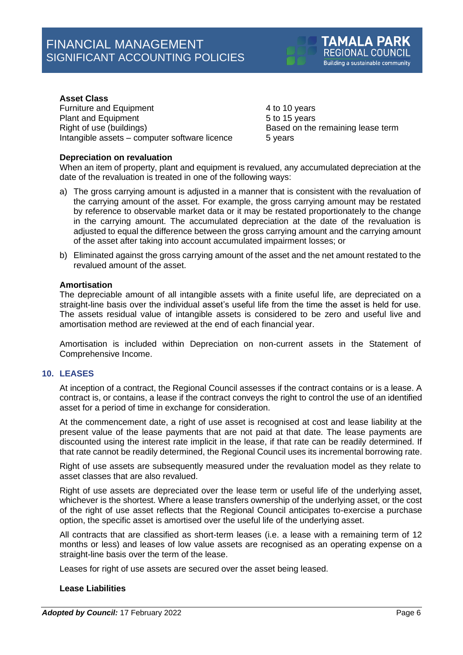### **Asset Class**

Furniture and Equipment 4 to 10 years Plant and Equipment 5 to 15 years Right of use (buildings) Right of use (buildings) Based on the remaining lease term Intangible assets – computer software licence 5 years

### **Depreciation on revaluation**

When an item of property, plant and equipment is revalued, any accumulated depreciation at the date of the revaluation is treated in one of the following ways:

- a) The gross carrying amount is adjusted in a manner that is consistent with the revaluation of the carrying amount of the asset. For example, the gross carrying amount may be restated by reference to observable market data or it may be restated proportionately to the change in the carrying amount. The accumulated depreciation at the date of the revaluation is adjusted to equal the difference between the gross carrying amount and the carrying amount of the asset after taking into account accumulated impairment losses; or
- b) Eliminated against the gross carrying amount of the asset and the net amount restated to the revalued amount of the asset.

## **Amortisation**

The depreciable amount of all intangible assets with a finite useful life, are depreciated on a straight-line basis over the individual asset's useful life from the time the asset is held for use. The assets residual value of intangible assets is considered to be zero and useful live and amortisation method are reviewed at the end of each financial year.

Amortisation is included within Depreciation on non-current assets in the Statement of Comprehensive Income.

### **10. LEASES**

At inception of a contract, the Regional Council assesses if the contract contains or is a lease. A contract is, or contains, a lease if the contract conveys the right to control the use of an identified asset for a period of time in exchange for consideration.

At the commencement date, a right of use asset is recognised at cost and lease liability at the present value of the lease payments that are not paid at that date. The lease payments are discounted using the interest rate implicit in the lease, if that rate can be readily determined. If that rate cannot be readily determined, the Regional Council uses its incremental borrowing rate.

Right of use assets are subsequently measured under the revaluation model as they relate to asset classes that are also revalued.

Right of use assets are depreciated over the lease term or useful life of the underlying asset, whichever is the shortest. Where a lease transfers ownership of the underlying asset, or the cost of the right of use asset reflects that the Regional Council anticipates to-exercise a purchase option, the specific asset is amortised over the useful life of the underlying asset.

All contracts that are classified as short-term leases (i.e. a lease with a remaining term of 12 months or less) and leases of low value assets are recognised as an operating expense on a straight-line basis over the term of the lease.

Leases for right of use assets are secured over the asset being leased.

### **Lease Liabilities**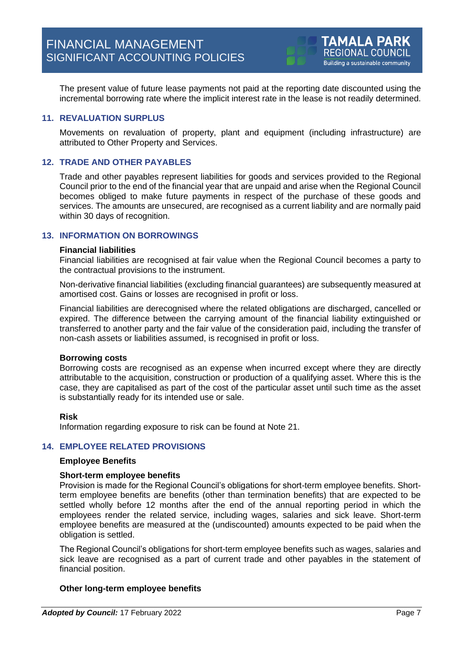The present value of future lease payments not paid at the reporting date discounted using the incremental borrowing rate where the implicit interest rate in the lease is not readily determined.

# **11. REVALUATION SURPLUS**

Movements on revaluation of property, plant and equipment (including infrastructure) are attributed to Other Property and Services.

### **12. TRADE AND OTHER PAYABLES**

Trade and other payables represent liabilities for goods and services provided to the Regional Council prior to the end of the financial year that are unpaid and arise when the Regional Council becomes obliged to make future payments in respect of the purchase of these goods and services. The amounts are unsecured, are recognised as a current liability and are normally paid within 30 days of recognition.

# **13. INFORMATION ON BORROWINGS**

### **Financial liabilities**

Financial liabilities are recognised at fair value when the Regional Council becomes a party to the contractual provisions to the instrument.

Non-derivative financial liabilities (excluding financial guarantees) are subsequently measured at amortised cost. Gains or losses are recognised in profit or loss.

Financial liabilities are derecognised where the related obligations are discharged, cancelled or expired. The difference between the carrying amount of the financial liability extinguished or transferred to another party and the fair value of the consideration paid, including the transfer of non-cash assets or liabilities assumed, is recognised in profit or loss.

### **Borrowing costs**

Borrowing costs are recognised as an expense when incurred except where they are directly attributable to the acquisition, construction or production of a qualifying asset. Where this is the case, they are capitalised as part of the cost of the particular asset until such time as the asset is substantially ready for its intended use or sale.

### **Risk**

Information regarding exposure to risk can be found at Note 21.

### **14. EMPLOYEE RELATED PROVISIONS**

### **Employee Benefits**

### **Short-term employee benefits**

Provision is made for the Regional Council's obligations for short-term employee benefits. Shortterm employee benefits are benefits (other than termination benefits) that are expected to be settled wholly before 12 months after the end of the annual reporting period in which the employees render the related service, including wages, salaries and sick leave. Short-term employee benefits are measured at the (undiscounted) amounts expected to be paid when the obligation is settled.

The Regional Council's obligations for short-term employee benefits such as wages, salaries and sick leave are recognised as a part of current trade and other payables in the statement of financial position.

### **Other long-term employee benefits**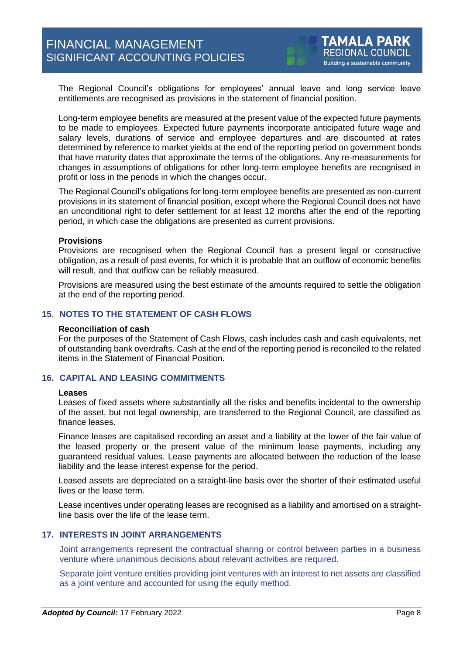The Regional Council's obligations for employees' annual leave and long service leave entitlements are recognised as provisions in the statement of financial position.

Long-term employee benefits are measured at the present value of the expected future payments to be made to employees. Expected future payments incorporate anticipated future wage and salary levels, durations of service and employee departures and are discounted at rates determined by reference to market yields at the end of the reporting period on government bonds that have maturity dates that approximate the terms of the obligations. Any re-measurements for changes in assumptions of obligations for other long-term employee benefits are recognised in profit or loss in the periods in which the changes occur.

The Regional Council's obligations for long-term employee benefits are presented as non-current provisions in its statement of financial position, except where the Regional Council does not have an unconditional right to defer settlement for at least 12 months after the end of the reporting period, in which case the obligations are presented as current provisions.

### **Provisions**

Provisions are recognised when the Regional Council has a present legal or constructive obligation, as a result of past events, for which it is probable that an outflow of economic benefits will result, and that outflow can be reliably measured.

Provisions are measured using the best estimate of the amounts required to settle the obligation at the end of the reporting period.

### **15. NOTES TO THE STATEMENT OF CASH FLOWS**

#### **Reconciliation of cash**

For the purposes of the Statement of Cash Flows, cash includes cash and cash equivalents, net of outstanding bank overdrafts. Cash at the end of the reporting period is reconciled to the related items in the Statement of Financial Position.

### **16. CAPITAL AND LEASING COMMITMENTS**

#### **Leases**

Leases of fixed assets where substantially all the risks and benefits incidental to the ownership of the asset, but not legal ownership, are transferred to the Regional Council, are classified as finance leases.

Finance leases are capitalised recording an asset and a liability at the lower of the fair value of the leased property or the present value of the minimum lease payments, including any guaranteed residual values. Lease payments are allocated between the reduction of the lease liability and the lease interest expense for the period.

Leased assets are depreciated on a straight-line basis over the shorter of their estimated useful lives or the lease term.

Lease incentives under operating leases are recognised as a liability and amortised on a straightline basis over the life of the lease term.

# **17. INTERESTS IN JOINT ARRANGEMENTS**

Joint arrangements represent the contractual sharing or control between parties in a business venture where unanimous decisions about relevant activities are required.

Separate joint venture entities providing joint ventures with an interest to net assets are classified as a joint venture and accounted for using the equity method.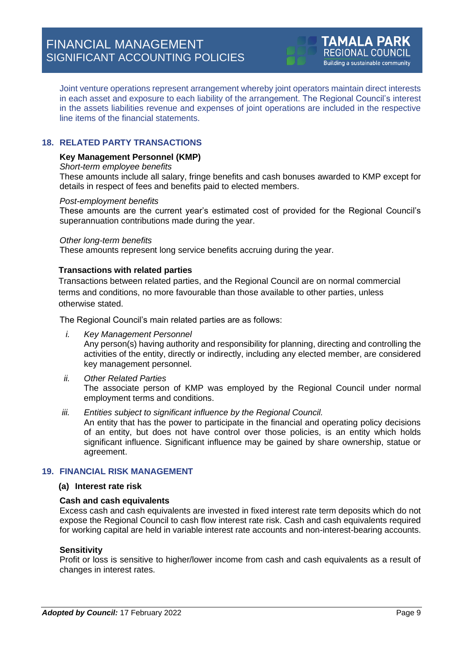Joint venture operations represent arrangement whereby joint operators maintain direct interests in each asset and exposure to each liability of the arrangement. The Regional Council's interest in the assets liabilities revenue and expenses of joint operations are included in the respective line items of the financial statements.

# **18. RELATED PARTY TRANSACTIONS**

### **Key Management Personnel (KMP)**

### *Short-term employee benefits*

These amounts include all salary, fringe benefits and cash bonuses awarded to KMP except for details in respect of fees and benefits paid to elected members.

### *Post-employment benefits*

These amounts are the current year's estimated cost of provided for the Regional Council's superannuation contributions made during the year.

### *Other long-term benefits*

These amounts represent long service benefits accruing during the year.

### **Transactions with related parties**

Transactions between related parties, and the Regional Council are on normal commercial terms and conditions, no more favourable than those available to other parties, unless otherwise stated.

The Regional Council's main related parties are as follows:

*i. Key Management Personnel*

Any person(s) having authority and responsibility for planning, directing and controlling the activities of the entity, directly or indirectly, including any elected member, are considered key management personnel.

- *ii. Other Related Parties* The associate person of KMP was employed by the Regional Council under normal employment terms and conditions.
- *iii. Entities subject to significant influence by the Regional Council.*

An entity that has the power to participate in the financial and operating policy decisions of an entity, but does not have control over those policies, is an entity which holds significant influence. Significant influence may be gained by share ownership, statue or agreement.

# **19. FINANCIAL RISK MANAGEMENT**

### **(a) Interest rate risk**

# **Cash and cash equivalents**

Excess cash and cash equivalents are invested in fixed interest rate term deposits which do not expose the Regional Council to cash flow interest rate risk. Cash and cash equivalents required for working capital are held in variable interest rate accounts and non-interest-bearing accounts.

# **Sensitivity**

Profit or loss is sensitive to higher/lower income from cash and cash equivalents as a result of changes in interest rates.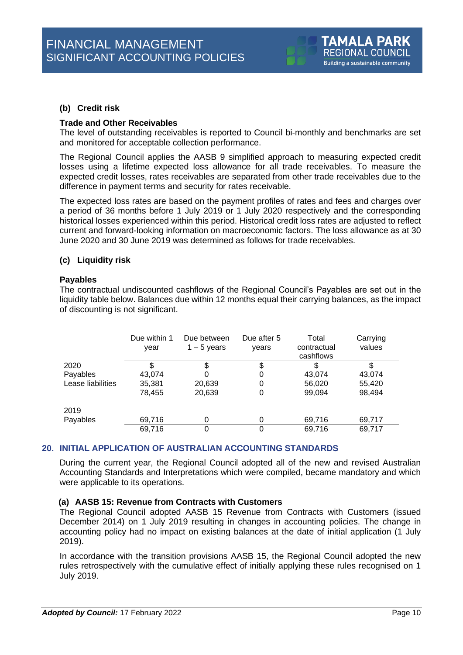# **(b) Credit risk**

### **Trade and Other Receivables**

The level of outstanding receivables is reported to Council bi-monthly and benchmarks are set and monitored for acceptable collection performance.

The Regional Council applies the AASB 9 simplified approach to measuring expected credit losses using a lifetime expected loss allowance for all trade receivables. To measure the expected credit losses, rates receivables are separated from other trade receivables due to the difference in payment terms and security for rates receivable.

The expected loss rates are based on the payment profiles of rates and fees and charges over a period of 36 months before 1 July 2019 or 1 July 2020 respectively and the corresponding historical losses experienced within this period. Historical credit loss rates are adjusted to reflect current and forward-looking information on macroeconomic factors. The loss allowance as at 30 June 2020 and 30 June 2019 was determined as follows for trade receivables.

# **(c) Liquidity risk**

### **Payables**

The contractual undiscounted cashflows of the Regional Council's Payables are set out in the liquidity table below. Balances due within 12 months equal their carrying balances, as the impact of discounting is not significant.

|                   | Due within 1<br>year | Due between<br>$1 - 5$ years | Due after 5<br>years | Total<br>contractual<br>cashflows | Carrying<br>values |
|-------------------|----------------------|------------------------------|----------------------|-----------------------------------|--------------------|
| 2020              |                      |                              | \$                   |                                   |                    |
| Payables          | 43,074               | O                            | 0                    | 43,074                            | 43,074             |
| Lease liabilities | 35,381               | 20,639                       | 0                    | 56,020                            | 55,420             |
|                   | 78,455               | 20,639                       | 0                    | 99,094                            | 98,494             |
| 2019              |                      |                              |                      |                                   |                    |
| Payables          | 69,716               | 0                            | 0                    | 69,716                            | 69,717             |
|                   | 69,716               |                              | 0                    | 69,716                            | 69,717             |

# **20. INITIAL APPLICATION OF AUSTRALIAN ACCOUNTING STANDARDS**

During the current year, the Regional Council adopted all of the new and revised Australian Accounting Standards and Interpretations which were compiled, became mandatory and which were applicable to its operations.

# **(a) AASB 15: Revenue from Contracts with Customers**

The Regional Council adopted AASB 15 Revenue from Contracts with Customers (issued December 2014) on 1 July 2019 resulting in changes in accounting policies. The change in accounting policy had no impact on existing balances at the date of initial application (1 July 2019).

In accordance with the transition provisions AASB 15, the Regional Council adopted the new rules retrospectively with the cumulative effect of initially applying these rules recognised on 1 July 2019.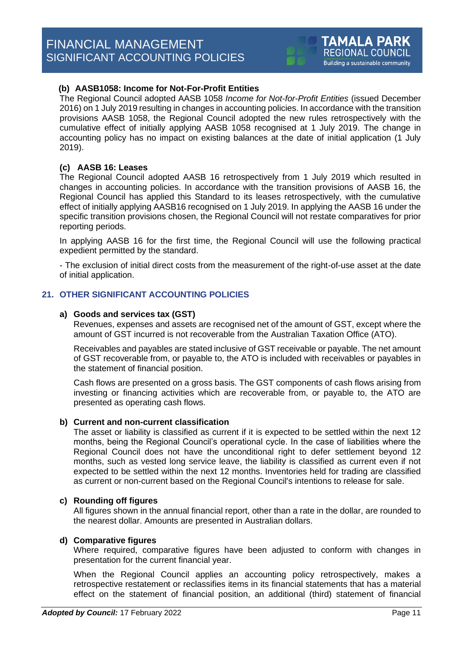# **(b) AASB1058: Income for Not-For-Profit Entities**

The Regional Council adopted AASB 1058 *Income for Not-for-Profit Entities* (issued December 2016) on 1 July 2019 resulting in changes in accounting policies. In accordance with the transition provisions AASB 1058, the Regional Council adopted the new rules retrospectively with the cumulative effect of initially applying AASB 1058 recognised at 1 July 2019. The change in accounting policy has no impact on existing balances at the date of initial application (1 July 2019).

# **(c) AASB 16: Leases**

The Regional Council adopted AASB 16 retrospectively from 1 July 2019 which resulted in changes in accounting policies. In accordance with the transition provisions of AASB 16, the Regional Council has applied this Standard to its leases retrospectively, with the cumulative effect of initially applying AASB16 recognised on 1 July 2019. In applying the AASB 16 under the specific transition provisions chosen, the Regional Council will not restate comparatives for prior reporting periods.

In applying AASB 16 for the first time, the Regional Council will use the following practical expedient permitted by the standard.

- The exclusion of initial direct costs from the measurement of the right-of-use asset at the date of initial application.

# **21. OTHER SIGNIFICANT ACCOUNTING POLICIES**

### **a) Goods and services tax (GST)**

Revenues, expenses and assets are recognised net of the amount of GST, except where the amount of GST incurred is not recoverable from the Australian Taxation Office (ATO).

Receivables and payables are stated inclusive of GST receivable or payable. The net amount of GST recoverable from, or payable to, the ATO is included with receivables or payables in the statement of financial position.

Cash flows are presented on a gross basis. The GST components of cash flows arising from investing or financing activities which are recoverable from, or payable to, the ATO are presented as operating cash flows.

### **b) Current and non-current classification**

The asset or liability is classified as current if it is expected to be settled within the next 12 months, being the Regional Council's operational cycle. In the case of liabilities where the Regional Council does not have the unconditional right to defer settlement beyond 12 months, such as vested long service leave, the liability is classified as current even if not expected to be settled within the next 12 months. Inventories held for trading are classified as current or non-current based on the Regional Council's intentions to release for sale.

### **c) Rounding off figures**

All figures shown in the annual financial report, other than a rate in the dollar, are rounded to the nearest dollar. Amounts are presented in Australian dollars.

### **d) Comparative figures**

Where required, comparative figures have been adjusted to conform with changes in presentation for the current financial year.

When the Regional Council applies an accounting policy retrospectively, makes a retrospective restatement or reclassifies items in its financial statements that has a material effect on the statement of financial position, an additional (third) statement of financial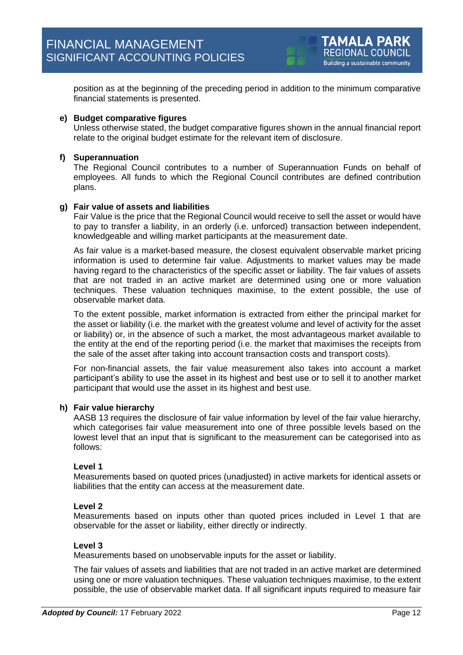position as at the beginning of the preceding period in addition to the minimum comparative financial statements is presented.

### **e) Budget comparative figures**

Unless otherwise stated, the budget comparative figures shown in the annual financial report relate to the original budget estimate for the relevant item of disclosure.

### **f) Superannuation**

The Regional Council contributes to a number of Superannuation Funds on behalf of employees. All funds to which the Regional Council contributes are defined contribution plans.

### **g) Fair value of assets and liabilities**

Fair Value is the price that the Regional Council would receive to sell the asset or would have to pay to transfer a liability, in an orderly (i.e. unforced) transaction between independent, knowledgeable and willing market participants at the measurement date.

As fair value is a market-based measure, the closest equivalent observable market pricing information is used to determine fair value. Adjustments to market values may be made having regard to the characteristics of the specific asset or liability. The fair values of assets that are not traded in an active market are determined using one or more valuation techniques. These valuation techniques maximise, to the extent possible, the use of observable market data.

To the extent possible, market information is extracted from either the principal market for the asset or liability (i.e. the market with the greatest volume and level of activity for the asset or liability) or, in the absence of such a market, the most advantageous market available to the entity at the end of the reporting period (i.e. the market that maximises the receipts from the sale of the asset after taking into account transaction costs and transport costs).

For non-financial assets, the fair value measurement also takes into account a market participant's ability to use the asset in its highest and best use or to sell it to another market participant that would use the asset in its highest and best use.

### **h) Fair value hierarchy**

AASB 13 requires the disclosure of fair value information by level of the fair value hierarchy, which categorises fair value measurement into one of three possible levels based on the lowest level that an input that is significant to the measurement can be categorised into as follows:

### **Level 1**

Measurements based on quoted prices (unadjusted) in active markets for identical assets or liabilities that the entity can access at the measurement date.

### **Level 2**

Measurements based on inputs other than quoted prices included in Level 1 that are observable for the asset or liability, either directly or indirectly.

### **Level 3**

Measurements based on unobservable inputs for the asset or liability.

The fair values of assets and liabilities that are not traded in an active market are determined using one or more valuation techniques. These valuation techniques maximise, to the extent possible, the use of observable market data. If all significant inputs required to measure fair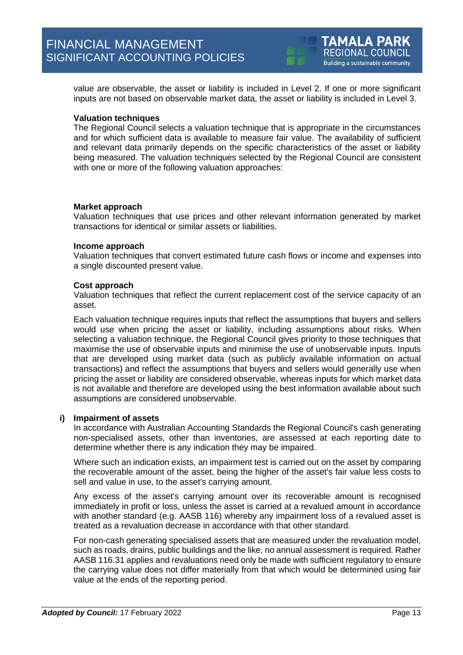value are observable, the asset or liability is included in Level 2. If one or more significant inputs are not based on observable market data, the asset or liability is included in Level 3.

### **Valuation techniques**

The Regional Council selects a valuation technique that is appropriate in the circumstances and for which sufficient data is available to measure fair value. The availability of sufficient and relevant data primarily depends on the specific characteristics of the asset or liability being measured. The valuation techniques selected by the Regional Council are consistent with one or more of the following valuation approaches:

### **Market approach**

Valuation techniques that use prices and other relevant information generated by market transactions for identical or similar assets or liabilities.

### **Income approach**

Valuation techniques that convert estimated future cash flows or income and expenses into a single discounted present value.

### **Cost approach**

Valuation techniques that reflect the current replacement cost of the service capacity of an asset.

Each valuation technique requires inputs that reflect the assumptions that buyers and sellers would use when pricing the asset or liability, including assumptions about risks. When selecting a valuation technique, the Regional Council gives priority to those techniques that maximise the use of observable inputs and minimise the use of unobservable inputs. Inputs that are developed using market data (such as publicly available information on actual transactions) and reflect the assumptions that buyers and sellers would generally use when pricing the asset or liability are considered observable, whereas inputs for which market data is not available and therefore are developed using the best information available about such assumptions are considered unobservable.

# **i) Impairment of assets**

In accordance with Australian Accounting Standards the Regional Council's cash generating non-specialised assets, other than inventories, are assessed at each reporting date to determine whether there is any indication they may be impaired.

Where such an indication exists, an impairment test is carried out on the asset by comparing the recoverable amount of the asset, being the higher of the asset's fair value less costs to sell and value in use, to the asset's carrying amount.

Any excess of the asset's carrying amount over its recoverable amount is recognised immediately in profit or loss, unless the asset is carried at a revalued amount in accordance with another standard (e.g. AASB 116) whereby any impairment loss of a revalued asset is treated as a revaluation decrease in accordance with that other standard.

For non-cash generating specialised assets that are measured under the revaluation model, such as roads, drains, public buildings and the like, no annual assessment is required. Rather AASB 116.31 applies and revaluations need only be made with sufficient regulatory to ensure the carrying value does not differ materially from that which would be determined using fair value at the ends of the reporting period.